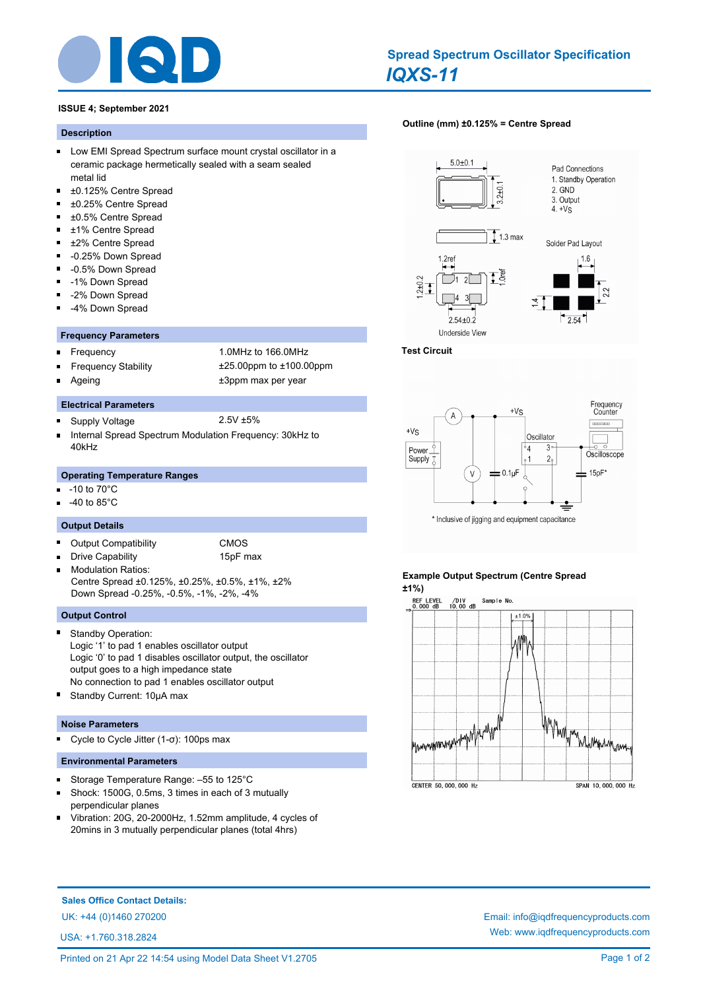

# **ISSUE 4; September 2021**

#### **Description**

- **Low EMI Spread Spectrum surface mount crystal oscillator in a** ceramic package hermetically sealed with a seam sealed metal lid
- $\blacksquare$ ±0.125% Centre Spread
- $\blacksquare$ ±0.25% Centre Spread
- ±0.5% Centre Spread
- $\blacksquare$ ±1% Centre Spread
- ±2% Centre Spread  $\blacksquare$
- $\blacksquare$ -0.25% Down Spread
- $\blacksquare$ -0.5% Down Spread
- $\blacksquare$ -1% Down Spread
- -2% Down Spread
- -4% Down Spread

## **Frequency Parameters**

- $\blacksquare$
- Frequency 1.0MHz to 166.0MHz
- 

**Electrical Parameters**

- Frequency Stability ±25.00ppm to ±100.00ppm
- 

 $\blacksquare$ 

 $\blacksquare$ 

# Ageing  $\qquad \qquad \qquad \text{+3ppm}$  max per year

- Supply Voltage 2.5V ±5%
- Internal Spread Spectrum Modulation Frequency: 30kHz to 40kHz

## **Operating Temperature Ranges**

- -10 to 70°C
- -40 to 85°C

## **Output Details**

- $\blacksquare$ Output Compatibility CMOS
	- Drive Capability 15pF max
- Modulation Ratios: Centre Spread ±0.125%, ±0.25%, ±0.5%, ±1%, ±2% Down Spread -0.25%, -0.5%, -1%, -2%, -4%

# **Output Control**

- Standby Operation: Logic '1' to pad 1 enables oscillator output Logic '0' to pad 1 disables oscillator output, the oscillator output goes to a high impedance state No connection to pad 1 enables oscillator output
- Standby Current: 10µA max

## **Noise Parameters**

Cycle to Cycle Jitter (1-σ): 100ps max  $\blacksquare$ 

## **Environmental Parameters**

- Storage Temperature Range: –55 to 125°C  $\blacksquare$
- $\blacksquare$ Shock: 1500G, 0.5ms, 3 times in each of 3 mutually perpendicular planes
- Vibration: 20G, 20-2000Hz, 1.52mm amplitude, 4 cycles of  $\blacksquare$ 20mins in 3 mutually perpendicular planes (total 4hrs)

## **[Outline \(mm\) ±0.125% = Centre Spread](http://www.iqdfrequencyproducts.com/products/search/?type=tcxo-tcvcxo&model=All&product-features=All&package=All&frequency=All&frequency-uom=MHz&frequency-stability=All&temperature-range=All&output=All&voltage=All)**



## **Test Circuit**



# **Example Output Spectrum (Centre Spread ±1%)**



**Sales Office Contact Details:**

UK: +44 (0)1460 270200 Email: info@iqdfrequencyproducts.com

USA: +1.760.318.2824

Web: www.iqdfrequencyproducts.com